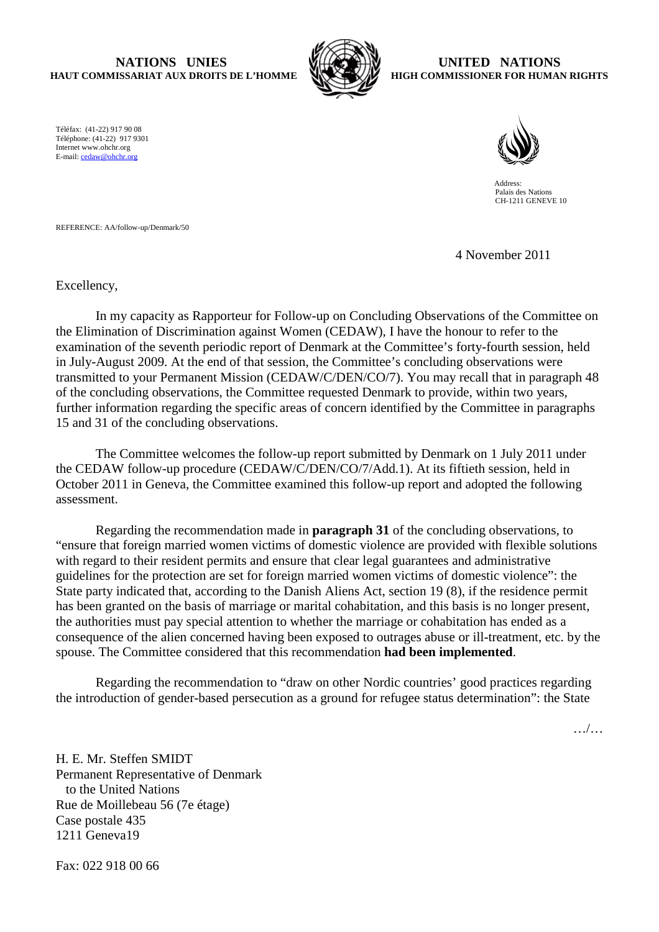## **NATIONS UNIES HAUT COMMISSARIAT AUX DROITS DE L'HOMME**



## **UNITED NATIONS HIGH COMMISSIONER FOR HUMAN RIGHTS**

Téléfax: (41-22) 917 90 08 Téléphone: (41-22) 917 9301 Internet www.ohchr.org E-mail: cedaw@ohchr.org



 Address: Palais des Nations CH-1211 GENEVE 10

REFERENCE: AA/follow-up/Denmark/50

4 November 2011

Excellency,

In my capacity as Rapporteur for Follow-up on Concluding Observations of the Committee on the Elimination of Discrimination against Women (CEDAW), I have the honour to refer to the examination of the seventh periodic report of Denmark at the Committee's forty-fourth session, held in July-August 2009. At the end of that session, the Committee's concluding observations were transmitted to your Permanent Mission (CEDAW/C/DEN/CO/7). You may recall that in paragraph 48 of the concluding observations, the Committee requested Denmark to provide, within two years, further information regarding the specific areas of concern identified by the Committee in paragraphs 15 and 31 of the concluding observations.

The Committee welcomes the follow-up report submitted by Denmark on 1 July 2011 under the CEDAW follow-up procedure (CEDAW/C/DEN/CO/7/Add.1). At its fiftieth session, held in October 2011 in Geneva, the Committee examined this follow-up report and adopted the following assessment.

Regarding the recommendation made in **paragraph 31** of the concluding observations, to "ensure that foreign married women victims of domestic violence are provided with flexible solutions with regard to their resident permits and ensure that clear legal guarantees and administrative guidelines for the protection are set for foreign married women victims of domestic violence": the State party indicated that, according to the Danish Aliens Act, section 19 (8), if the residence permit has been granted on the basis of marriage or marital cohabitation, and this basis is no longer present, the authorities must pay special attention to whether the marriage or cohabitation has ended as a consequence of the alien concerned having been exposed to outrages abuse or ill-treatment, etc. by the spouse. The Committee considered that this recommendation **had been implemented**.

Regarding the recommendation to "draw on other Nordic countries' good practices regarding the introduction of gender-based persecution as a ground for refugee status determination": the State

…/…

H. E. Mr. Steffen SMIDT Permanent Representative of Denmark to the United Nations Rue de Moillebeau 56 (7e étage) Case postale 435 1211 Geneva19

Fax: 022 918 00 66